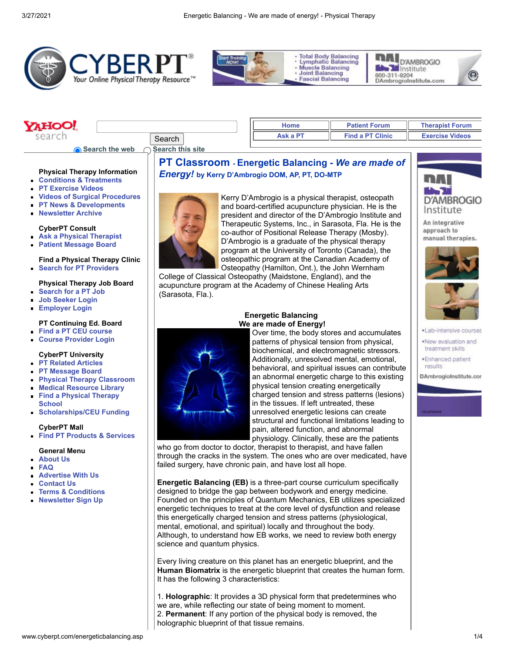**PT Classroom - Energetic Balancing -** *We are made of*

Kerry D'Ambrogio is a physical therapist, osteopath and board-certified acupuncture physician. He is the president and director of the D'Ambrogio Institute and Therapeutic Systems, Inc., in Sarasota, Fla. He is the co-author of Positional Release Therapy (Mosby). D'Ambrogio is a graduate of the physical therapy program at the University of Toronto (Canada), the











#### **AHOO! [Home](http://www.cyberpt.com/) [Patient Forum](http://www.cyberpt.com/ptforum/default.asp?C=4) [Therapist Forum](http://www.cyberpt.com/ptforum) [Ask a PT](http://www.cyberpt.com/cyberptconsultb.asp) [Find a PT Clinic](http://www.cyberpt.com/clinic/PTClinic.asp) [Exercise Videos](http://www.cyberpt.com/cptvidlist.asp)** search Search

*Energy!* **by Kerry D'Ambrogio DOM, AP, PT, DO-MTP**

**Search the web** 

| ◯ Search this site |  |  |
|--------------------|--|--|
|                    |  |  |

(Sarasota, Fla.).

## **Physical Therapy Information**

- **[Conditions & Treatments](http://www.cyberpt.com/cptcondtrtlistnov21.asp)**
- **[PT Exercise Videos](http://www.cyberpt.com/cptvidlist.asp)**
- **[Videos of Surgical Procedures](http://www.cyberpt.com/surgicalprocedures.asp)**
- **[PT News & Developments](http://www.cyberpt.com/physicaltherapynews.asp)**  $\blacksquare$
- **[Newsletter Archive](http://archive.constantcontact.com/fs083/1102039761957/archive/1102125571410.html)**

#### **CyberPT Consult**

- **[Ask a Physical Therapist](http://www.cyberpt.com/cyberptconsultb.asp)**
- **[Patient Message Board](http://www.cyberpt.com/ptforum/default.asp?C=4)**  $\blacksquare$

### **Find a Physical Therapy Clinic [Search for PT Providers](http://www.cyberpt.com/clinic/PTClinic.asp)**

### **Physical Therapy Job Board**

- **[Search for a PT Job](http://www.cyberpt.com/jbent)**  $\blacksquare$
- **[Job Seeker Login](http://www.cyberpt.com/jbent/seeker_login.asp)**
- **[Employer Login](http://www.cyberpt.com/jbent/employerlogin.asp)**  $\blacksquare$

## **PT Continuing Ed. Board**

- **[Find a PT CEU course](http://www.cyberpt.com/ceb)**
- **[Course Provider Login](http://www.cyberpt.com/ceb/admin/employerlogin.asp)**

# **CyberPT University**

- **[PT Related Articles](http://www.cyberpt.com/cyberptarticlearchive.asp)**
- **[PT Message Board](http://www.cyberpt.com/ptforum)**
- **[Physical Therapy Classroom](http://www.cyberpt.com/CyberPTclassroom.asp)**  $\blacksquare$
- **[Medical Resource Library](http://www.cyberpt.com/CyberPTmedlib.asp)**
- **[Find a Physical Therapy](http://www.cyberpt.com/CyberPTFindaPTSchool.asp) School**
- **[Scholarships/CEU Funding](http://www.cyberpt.com/CyberPTscholar.asp)**

### **CyberPT Mall**

**[Find PT Products & Services](http://www.cyberpt.com/physicaltherapysuppliesequipment.asp)**

## **General Menu**

- **[About Us](http://www.cyberpt.com/cyberptaboutus.asp)**
- **[FAQ](http://www.cyberpt.com/CyberPTfaq.asp)**

 $\blacksquare$ 

- **[Advertise With Us](http://www.cyberpt.com/cptadwithus.asp)**
- **[Contact Us](http://www.cyberpt.com/cyberptquescom.asp)**
- **[Terms & Conditions](http://www.cyberpt.com/CyberPTtermscond.asp)**
- **[Newsletter Sign Up](http://visitor.constantcontact.com/manage/optin/ea?v=0016kgdmuAR3nBZDI4TO89RPQ%3D%3D)**

# **Energetic Balancing We are made of Energy!**

Over time, the body stores and accumulates patterns of physical tension from physical, biochemical, and electromagnetic stressors. Additionally, unresolved mental, emotional, behavioral, and spiritual issues can contribute an abnormal energetic charge to this existing physical tension creating energetically charged tension and stress patterns (lesions) in the tissues. If left untreated, these unresolved energetic lesions can create structural and functional limitations leading to pain, altered function, and abnormal physiology. Clinically, these are the patients

who go from doctor to doctor, therapist to therapist, and have fallen through the cracks in the system. The ones who are over medicated, have failed surgery, have chronic pain, and have lost all hope.

**Energetic Balancing (EB)** is a three-part course curriculum specifically designed to bridge the gap between bodywork and energy medicine. Founded on the principles of Quantum Mechanics, EB utilizes specialized energetic techniques to treat at the core level of dysfunction and release this energetically charged tension and stress patterns (physiological, mental, emotional, and spiritual) locally and throughout the body. Although, to understand how EB works, we need to review both energy science and quantum physics.

Every living creature on this planet has an energetic blueprint, and the **Human Biomatrix** is the energetic blueprint that creates the human form. It has the following 3 characteristics:

1. **Holographic**: It provides a 3D physical form that predetermines who we are, while reflecting our state of being moment to moment. 2. **Permanent**: If any portion of the physical body is removed, the holographic blueprint of that tissue remains.



An integrative approach to manual therapies.





- ·Lab-intensive courses
- .New evaluation and treatment skills
- ·Enhanced patient results

DAmbrogioInstitute.con

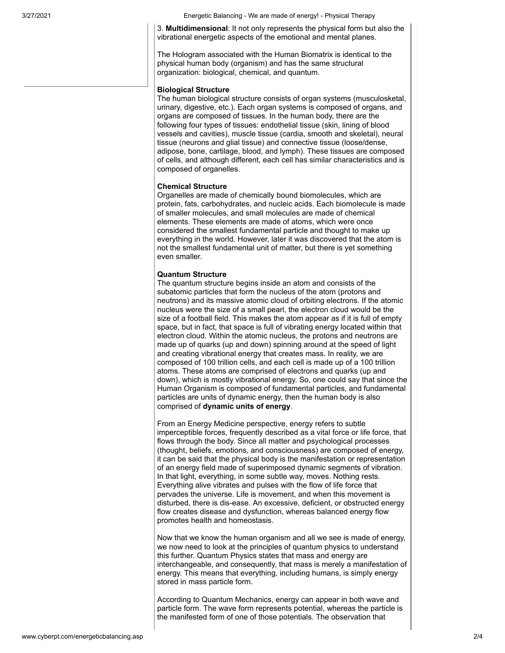3/27/2021 Energetic Balancing - We are made of energy! - Physical Therapy

3. **Multidimensional**: It not only represents the physical form but also the vibrational energetic aspects of the emotional and mental planes.

The Hologram associated with the Human Biomatrix is identical to the physical human body (organism) and has the same structural organization: biological, chemical, and quantum.

# **Biological Structure**

The human biological structure consists of organ systems (musculosketal, urinary, digestive, etc.). Each organ systems is composed of organs, and organs are composed of tissues. In the human body, there are the following four types of tissues: endothelial tissue (skin, lining of blood vessels and cavities), muscle tissue (cardia, smooth and skeletal), neural tissue (neurons and glial tissue) and connective tissue (loose/dense, adipose, bone, cartilage, blood, and lymph). These tissues are composed of cells, and although different, each cell has similar characteristics and is composed of organelles.

#### **Chemical Structure**

Organelles are made of chemically bound biomolecules, which are protein, fats, carbohydrates, and nucleic acids. Each biomolecule is made of smaller molecules, and small molecules are made of chemical elements. These elements are made of atoms, which were once considered the smallest fundamental particle and thought to make up everything in the world. However, later it was discovered that the atom is not the smallest fundamental unit of matter, but there is yet something even smaller.

### **Quantum Structure**

The quantum structure begins inside an atom and consists of the subatomic particles that form the nucleus of the atom (protons and neutrons) and its massive atomic cloud of orbiting electrons. If the atomic nucleus were the size of a small pearl, the electron cloud would be the size of a football field. This makes the atom appear as if it is full of empty space, but in fact, that space is full of vibrating energy located within that electron cloud. Within the atomic nucleus, the protons and neutrons are made up of quarks (up and down) spinning around at the speed of light and creating vibrational energy that creates mass. In reality, we are composed of 100 trillion cells, and each cell is made up of a 100 trillion atoms. These atoms are comprised of electrons and quarks (up and down), which is mostly vibrational energy. So, one could say that since the Human Organism is composed of fundamental particles, and fundamental particles are units of dynamic energy, then the human body is also comprised of **dynamic units of energy**.

From an Energy Medicine perspective, energy refers to subtle imperceptible forces, frequently described as a vital force or life force, that flows through the body. Since all matter and psychological processes (thought, beliefs, emotions, and consciousness) are composed of energy, it can be said that the physical body is the manifestation or representation of an energy field made of superimposed dynamic segments of vibration. In that light, everything, in some subtle way, moves. Nothing rests. Everything alive vibrates and pulses with the flow of life force that pervades the universe. Life is movement, and when this movement is disturbed, there is dis-ease. An excessive, deficient, or obstructed energy flow creates disease and dysfunction, whereas balanced energy flow promotes health and homeostasis.

Now that we know the human organism and all we see is made of energy, we now need to look at the principles of quantum physics to understand this further. Quantum Physics states that mass and energy are interchangeable, and consequently, that mass is merely a manifestation of energy. This means that everything, including humans, is simply energy stored in mass particle form.

According to Quantum Mechanics, energy can appear in both wave and particle form. The wave form represents potential, whereas the particle is the manifested form of one of those potentials. The observation that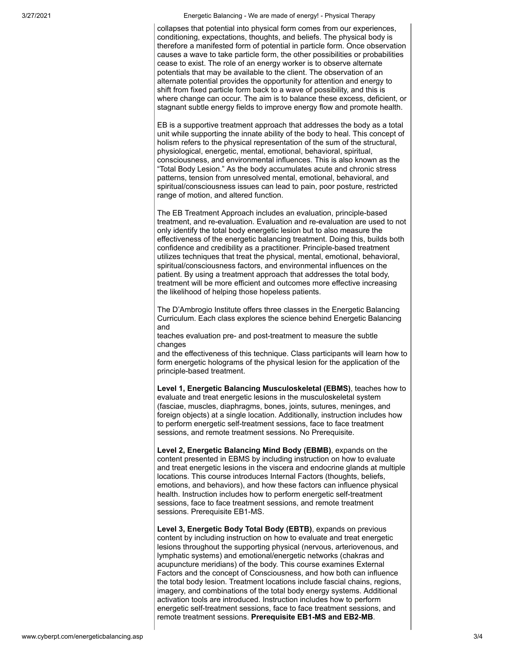3/27/2021 Energetic Balancing - We are made of energy! - Physical Therapy

collapses that potential into physical form comes from our experiences, conditioning, expectations, thoughts, and beliefs. The physical body is therefore a manifested form of potential in particle form. Once observation causes a wave to take particle form, the other possibilities or probabilities cease to exist. The role of an energy worker is to observe alternate potentials that may be available to the client. The observation of an alternate potential provides the opportunity for attention and energy to shift from fixed particle form back to a wave of possibility, and this is where change can occur. The aim is to balance these excess, deficient, or stagnant subtle energy fields to improve energy flow and promote health.

EB is a supportive treatment approach that addresses the body as a total unit while supporting the innate ability of the body to heal. This concept of holism refers to the physical representation of the sum of the structural, physiological, energetic, mental, emotional, behavioral, spiritual, consciousness, and environmental influences. This is also known as the "Total Body Lesion." As the body accumulates acute and chronic stress patterns, tension from unresolved mental, emotional, behavioral, and spiritual/consciousness issues can lead to pain, poor posture, restricted range of motion, and altered function.

The EB Treatment Approach includes an evaluation, principle-based treatment, and re-evaluation. Evaluation and re-evaluation are used to not only identify the total body energetic lesion but to also measure the effectiveness of the energetic balancing treatment. Doing this, builds both confidence and credibility as a practitioner. Principle-based treatment utilizes techniques that treat the physical, mental, emotional, behavioral, spiritual/consciousness factors, and environmental influences on the patient. By using a treatment approach that addresses the total body, treatment will be more efficient and outcomes more effective increasing the likelihood of helping those hopeless patients.

The D'Ambrogio Institute offers three classes in the Energetic Balancing Curriculum. Each class explores the science behind Energetic Balancing and

teaches evaluation pre- and post-treatment to measure the subtle changes

and the effectiveness of this technique. Class participants will learn how to form energetic holograms of the physical lesion for the application of the principle-based treatment.

**Level 1, Energetic Balancing Musculoskeletal (EBMS)**, teaches how to evaluate and treat energetic lesions in the musculoskeletal system (fasciae, muscles, diaphragms, bones, joints, sutures, meninges, and foreign objects) at a single location. Additionally, instruction includes how to perform energetic self-treatment sessions, face to face treatment sessions, and remote treatment sessions. No Prerequisite.

**Level 2, Energetic Balancing Mind Body (EBMB)**, expands on the content presented in EBMS by including instruction on how to evaluate and treat energetic lesions in the viscera and endocrine glands at multiple locations. This course introduces Internal Factors (thoughts, beliefs, emotions, and behaviors), and how these factors can influence physical health. Instruction includes how to perform energetic self-treatment sessions, face to face treatment sessions, and remote treatment sessions. Prerequisite EB1-MS.

**Level 3, Energetic Body Total Body (EBTB)**, expands on previous content by including instruction on how to evaluate and treat energetic lesions throughout the supporting physical (nervous, arteriovenous, and lymphatic systems) and emotional/energetic networks (chakras and acupuncture meridians) of the body. This course examines External Factors and the concept of Consciousness, and how both can influence the total body lesion. Treatment locations include fascial chains, regions, imagery, and combinations of the total body energy systems. Additional activation tools are introduced. Instruction includes how to perform energetic self-treatment sessions, face to face treatment sessions, and remote treatment sessions. **Prerequisite EB1-MS and EB2-MB**.